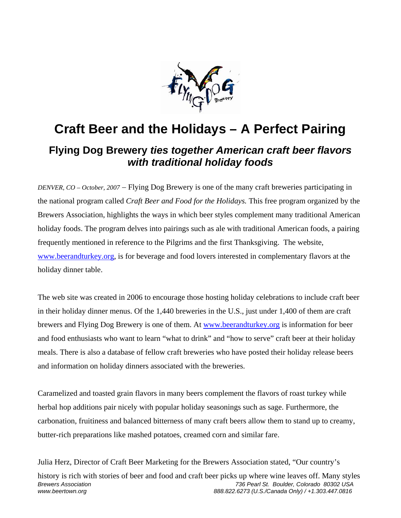

## **Craft Beer and the Holidays – A Perfect Pairing**

## **Flying Dog Brewery** *ties together American craft beer flavors with traditional holiday foods*

*DENVER, CO* – *October, 2007* − Flying Dog Brewery is one of the many craft breweries participating in the national program called *Craft Beer and Food for the Holidays.* This free program organized by the Brewers Association, highlights the ways in which beer styles complement many traditional American holiday foods. The program delves into pairings such as ale with traditional American foods, a pairing frequently mentioned in reference to the Pilgrims and the first Thanksgiving. The website, [www.beerandturkey.org](http://www.beerandturkey.org/), is for beverage and food lovers interested in complementary flavors at the holiday dinner table.

The web site was created in 2006 to encourage those hosting holiday celebrations to include craft beer in their holiday dinner menus. Of the 1,440 breweries in the U.S., just under 1,400 of them are craft brewers and Flying Dog Brewery is one of them. At [www.beerandturkey.org](http://www.beerandturkey.org/) is information for beer and food enthusiasts who want to learn "what to drink" and "how to serve" craft beer at their holiday meals. There is also a database of fellow craft breweries who have posted their holiday release beers and information on holiday dinners associated with the breweries.

Caramelized and toasted grain flavors in many beers complement the flavors of roast turkey while herbal hop additions pair nicely with popular holiday seasonings such as sage. Furthermore, the carbonation, fruitiness and balanced bitterness of many craft beers allow them to stand up to creamy, butter-rich preparations like mashed potatoes, creamed corn and similar fare.

Julia Herz, Director of Craft Beer Marketing for the Brewers Association stated, "Our country's

*Brewers Association 736 Pearl St. Boulder, Colorado 80302 USA www.beertown.org 888.822.6273 (U.S./Canada Only) / +1.303.447.0816* history is rich with stories of beer and food and craft beer picks up where wine leaves off. Many styles